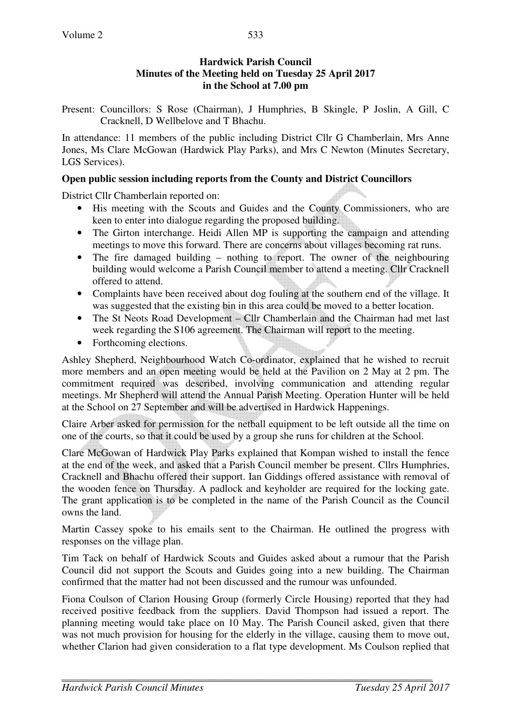# **Hardwick Parish Council Minutes of the Meeting held on Tuesday 25 April 2017 in the School at 7.00 pm**

Present: Councillors: S Rose (Chairman), J Humphries, B Skingle, P Joslin, A Gill, C Cracknell, D Wellbelove and T Bhachu.

In attendance: 11 members of the public including District Cllr G Chamberlain, Mrs Anne Jones, Ms Clare McGowan (Hardwick Play Parks), and Mrs C Newton (Minutes Secretary, LGS Services).

# **Open public session including reports from the County and District Councillors**

District Cllr Chamberlain reported on:

- His meeting with the Scouts and Guides and the County Commissioners, who are keen to enter into dialogue regarding the proposed building.
- The Girton interchange. Heidi Allen MP is supporting the campaign and attending meetings to move this forward. There are concerns about villages becoming rat runs.
- The fire damaged building nothing to report. The owner of the neighbouring building would welcome a Parish Council member to attend a meeting. Cllr Cracknell offered to attend.
- Complaints have been received about dog fouling at the southern end of the village. It was suggested that the existing bin in this area could be moved to a better location.
- The St Neots Road Development Cllr Chamberlain and the Chairman had met last week regarding the S106 agreement. The Chairman will report to the meeting.
- Forthcoming elections.

Ashley Shepherd, Neighbourhood Watch Co-ordinator, explained that he wished to recruit more members and an open meeting would be held at the Pavilion on 2 May at 2 pm. The commitment required was described, involving communication and attending regular meetings. Mr Shepherd will attend the Annual Parish Meeting. Operation Hunter will be held at the School on 27 September and will be advertised in Hardwick Happenings.

Claire Arber asked for permission for the netball equipment to be left outside all the time on one of the courts, so that it could be used by a group she runs for children at the School.

Clare McGowan of Hardwick Play Parks explained that Kompan wished to install the fence at the end of the week, and asked that a Parish Council member be present. Cllrs Humphries, Cracknell and Bhachu offered their support. Ian Giddings offered assistance with removal of the wooden fence on Thursday. A padlock and keyholder are required for the locking gate. The grant application is to be completed in the name of the Parish Council as the Council owns the land.

Martin Cassey spoke to his emails sent to the Chairman. He outlined the progress with responses on the village plan.

Tim Tack on behalf of Hardwick Scouts and Guides asked about a rumour that the Parish Council did not support the Scouts and Guides going into a new building. The Chairman confirmed that the matter had not been discussed and the rumour was unfounded.

Fiona Coulson of Clarion Housing Group (formerly Circle Housing) reported that they had received positive feedback from the suppliers. David Thompson had issued a report. The planning meeting would take place on 10 May. The Parish Council asked, given that there was not much provision for housing for the elderly in the village, causing them to move out, whether Clarion had given consideration to a flat type development. Ms Coulson replied that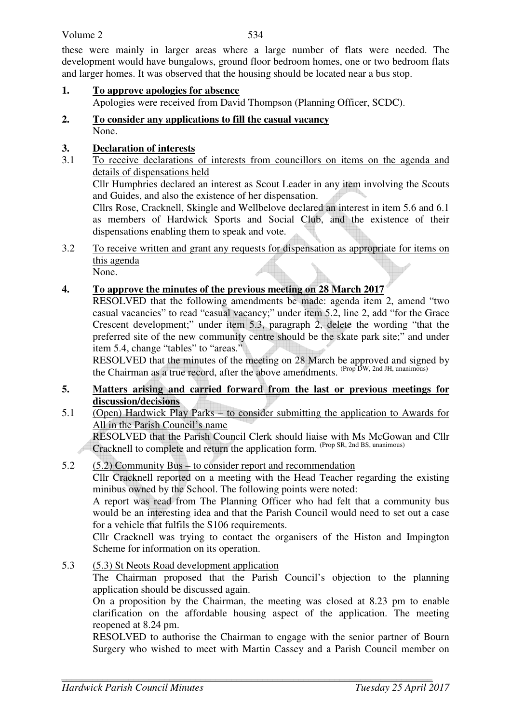### Volume 2

534

these were mainly in larger areas where a large number of flats were needed. The development would have bungalows, ground floor bedroom homes, one or two bedroom flats and larger homes. It was observed that the housing should be located near a bus stop.

- **1. To approve apologies for absence** Apologies were received from David Thompson (Planning Officer, SCDC).
- **2. To consider any applications to fill the casual vacancy** None.

# **3. Declaration of interests**

3.1 To receive declarations of interests from councillors on items on the agenda and details of dispensations held

Cllr Humphries declared an interest as Scout Leader in any item involving the Scouts and Guides, and also the existence of her dispensation.

Cllrs Rose, Cracknell, Skingle and Wellbelove declared an interest in item 5.6 and 6.1 as members of Hardwick Sports and Social Club, and the existence of their dispensations enabling them to speak and vote.

- 3.2 To receive written and grant any requests for dispensation as appropriate for items on this agenda None.
- **4. To approve the minutes of the previous meeting on 28 March 2017**

RESOLVED that the following amendments be made: agenda item 2, amend "two casual vacancies" to read "casual vacancy;" under item 5.2, line 2, add "for the Grace Crescent development;" under item 5.3, paragraph 2, delete the wording "that the preferred site of the new community centre should be the skate park site;" and under item 5.4, change "tables" to "areas."

RESOLVED that the minutes of the meeting on 28 March be approved and signed by the Chairman as a true record, after the above amendments.  $(\text{Prop }D_W, 2nd JH, \text{unanimous})$ 

- **5. Matters arising and carried forward from the last or previous meetings for discussion/decisions**
- 5.1 (Open) Hardwick Play Parks to consider submitting the application to Awards for All in the Parish Council's name

 RESOLVED that the Parish Council Clerk should liaise with Ms McGowan and Cllr Cracknell to complete and return the application form. (Prop SR, 2nd BS, unanimous)

# 5.2 (5.2) Community Bus – to consider report and recommendation

Cllr Cracknell reported on a meeting with the Head Teacher regarding the existing minibus owned by the School. The following points were noted:

A report was read from The Planning Officer who had felt that a community bus would be an interesting idea and that the Parish Council would need to set out a case for a vehicle that fulfils the S106 requirements.

Cllr Cracknell was trying to contact the organisers of the Histon and Impington Scheme for information on its operation.

5.3 (5.3) St Neots Road development application

The Chairman proposed that the Parish Council's objection to the planning application should be discussed again.

On a proposition by the Chairman, the meeting was closed at 8.23 pm to enable clarification on the affordable housing aspect of the application. The meeting reopened at 8.24 pm.

RESOLVED to authorise the Chairman to engage with the senior partner of Bourn Surgery who wished to meet with Martin Cassey and a Parish Council member on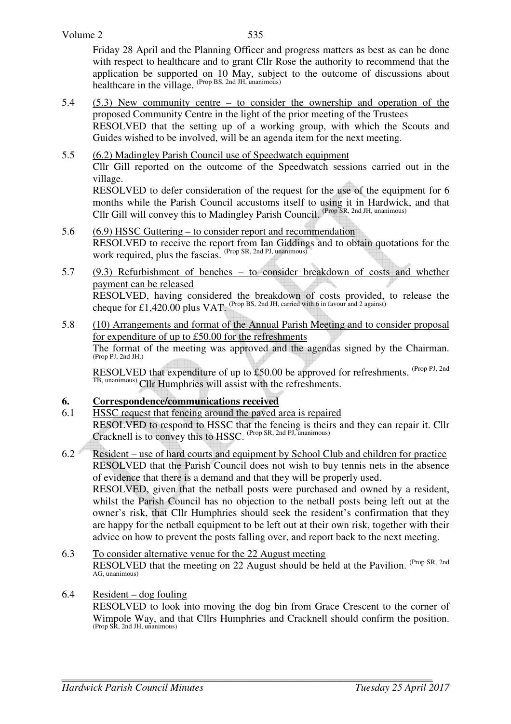Friday 28 April and the Planning Officer and progress matters as best as can be done with respect to healthcare and to grant Cllr Rose the authority to recommend that the application be supported on 10 May, subject to the outcome of discussions about healthcare in the village. (Prop BS, 2nd JH, unanimous)

- 5.4 (5.3) New community centre to consider the ownership and operation of the proposed Community Centre in the light of the prior meeting of the Trustees RESOLVED that the setting up of a working group, with which the Scouts and Guides wished to be involved, will be an agenda item for the next meeting.
- 5.5 (6.2) Madingley Parish Council use of Speedwatch equipment Cllr Gill reported on the outcome of the Speedwatch sessions carried out in the village. RESOLVED to defer consideration of the request for the use of the equipment for 6

months while the Parish Council accustoms itself to using it in Hardwick, and that Cllr Gill will convey this to Madingley Parish Council. (Prop SR, 2nd JH, unanimous)

- 5.6 (6.9) HSSC Guttering to consider report and recommendation RESOLVED to receive the report from Ian Giddings and to obtain quotations for the work required, plus the fascias. (Prop SR, 2nd PJ, unanimous)
- 5.7 (9.3) Refurbishment of benches to consider breakdown of costs and whether payment can be released RESOLVED, having considered the breakdown of costs provided, to release the cheque for £1,420.00 plus VAT. (Prop BS, 2nd JH, carried with 6 in favour and 2 against)

#### 5.8 (10) Arrangements and format of the Annual Parish Meeting and to consider proposal for expenditure of up to £50.00 for the refreshments The format of the meeting was approved and the agendas signed by the Chairman. (Prop PJ, 2nd JH,)

RESOLVED that expenditure of up to £50.00 be approved for refreshments. <sup>(Prop PJ, 2nd</sup>) TB, unanimous) Cllr Humphries will assist with the refreshments.

# **6. Correspondence/communications received**

- 6.1 HSSC request that fencing around the paved area is repaired RESOLVED to respond to HSSC that the fencing is theirs and they can repair it. Cllr Cracknell is to convey this to HSSC. (Prop SR, 2nd PJ, unanimous)
- 6.2 Resident use of hard courts and equipment by School Club and children for practice RESOLVED that the Parish Council does not wish to buy tennis nets in the absence of evidence that there is a demand and that they will be properly used. RESOLVED, given that the netball posts were purchased and owned by a resident, whilst the Parish Council has no objection to the netball posts being left out at the owner's risk, that Cllr Humphries should seek the resident's confirmation that they are happy for the netball equipment to be left out at their own risk, together with their advice on how to prevent the posts falling over, and report back to the next meeting.
- 6.3 To consider alternative venue for the 22 August meeting RESOLVED that the meeting on 22 August should be held at the Pavilion. (Prop SR, 2nd) AG, unanimous)
- 6.4 Resident dog fouling

RESOLVED to look into moving the dog bin from Grace Crescent to the corner of Wimpole Way, and that Cllrs Humphries and Cracknell should confirm the position. (Prop SR, 2nd JH, unanimous)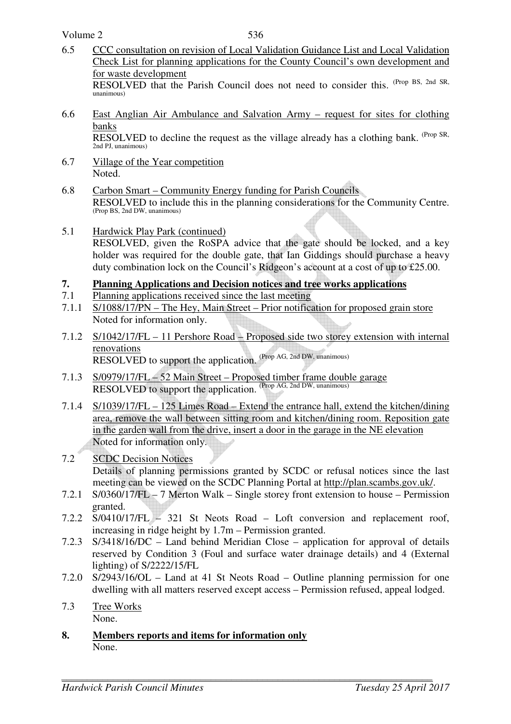Volume 2

- 6.5 CCC consultation on revision of Local Validation Guidance List and Local Validation Check List for planning applications for the County Council's own development and for waste development RESOLVED that the Parish Council does not need to consider this. (Prop BS, 2nd SR, unanimous)
- 6.6 East Anglian Air Ambulance and Salvation Army request for sites for clothing banks

RESOLVED to decline the request as the village already has a clothing bank. <sup>(Prop SR,</sup> 2nd PJ, unanimous)

- 6.7 Village of the Year competition Noted.
- 6.8 Carbon Smart Community Energy funding for Parish Councils RESOLVED to include this in the planning considerations for the Community Centre. (Prop BS, 2nd DW, unanimous)
- 5.1 Hardwick Play Park (continued) RESOLVED, given the RoSPA advice that the gate should be locked, and a key holder was required for the double gate, that Ian Giddings should purchase a heavy duty combination lock on the Council's Ridgeon's account at a cost of up to £25.00.

#### **7. Planning Applications and Decision notices and tree works applications**

- 7.1 Planning applications received since the last meeting
- 7.1.1 S/1088/17/PN The Hey, Main Street Prior notification for proposed grain store Noted for information only.
- 7.1.2 S/1042/17/FL 11 Pershore Road Proposed side two storey extension with internal renovations RESOLVED to support the application. (Prop AG, 2nd DW, unanimous)
- 7.1.3 S/0979/17/FL 52 Main Street Proposed timber frame double garage RESOLVED to support the application. (Prop AG, 2nd DW, unanimous)
- 7.1.4 S/1039/17/FL 125 Limes Road Extend the entrance hall, extend the kitchen/dining area, remove the wall between sitting room and kitchen/dining room. Reposition gate in the garden wall from the drive, insert a door in the garage in the NE elevation Noted for information only.

### 7.2 SCDC Decision Notices Details of planning permissions granted by SCDC or refusal notices since the last meeting can be viewed on the SCDC Planning Portal at http://plan.scambs.gov.uk/.

- 7.2.1 S/0360/17/FL 7 Merton Walk Single storey front extension to house Permission granted.
- 7.2.2 S/0410/17/FL 321 St Neots Road Loft conversion and replacement roof, increasing in ridge height by 1.7m – Permission granted.
- 7.2.3 S/3418/16/DC Land behind Meridian Close application for approval of details reserved by Condition 3 (Foul and surface water drainage details) and 4 (External lighting) of S/2222/15/FL
- 7.2.0 S/2943/16/OL Land at 41 St Neots Road Outline planning permission for one dwelling with all matters reserved except access – Permission refused, appeal lodged.
- 7.3 Tree Works None.
- **8. Members reports and items for information only** None.